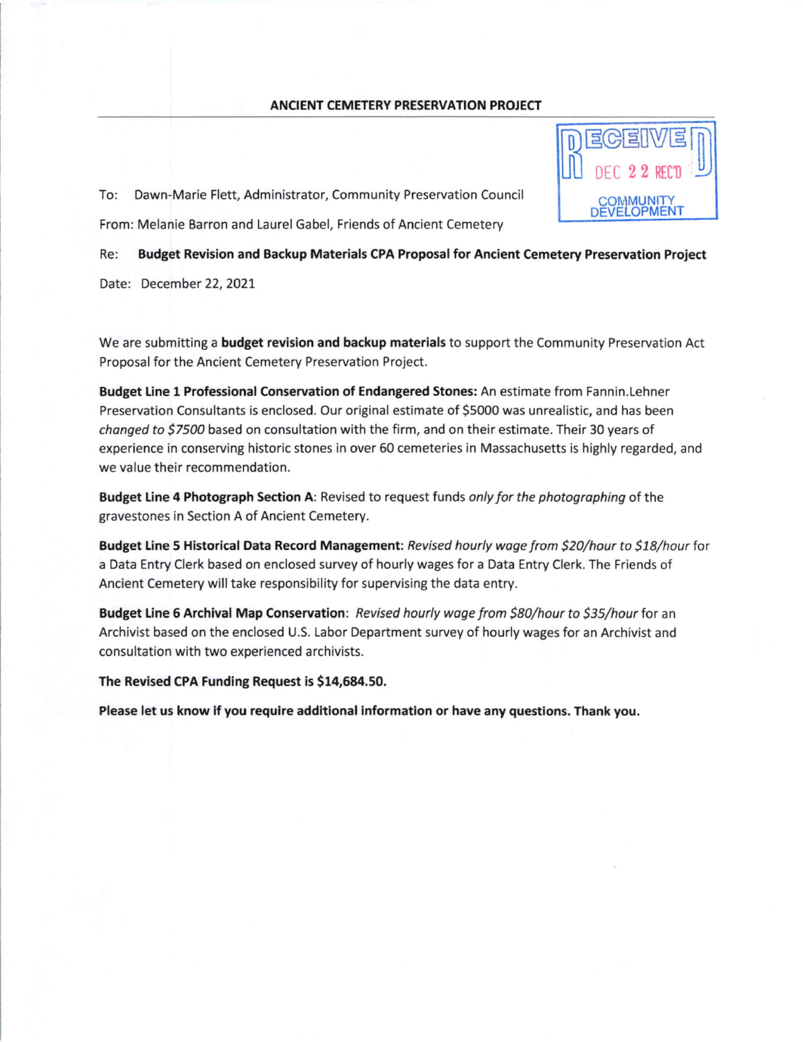## ANCIENT CEMETERY PRESERVATION PROJECT

To: Dawn-Marie Flett, Administrator, Community Preservation Council From: Melanie Barron and Laurel Gabel, Friends of Ancient Cemetery

Re: Budget Revision and Backup Materials CPA Proposal for Ancient Cemetery Preservation Project

Date: December 22, 2021

We are submitting a **budget revision and backup materials** to support the Community Preservation Act Proposal for the Ancient Cemetery Preservation Project.

Budget Line 1 Professional Conservation of Endangered Stones: An estimate from Fannin.Lehner Preservation Consultants is enclosed. Our original estimate of 55000 was unrealistic, and has been changed to \$7500 based on consultation with the firm, and on their estimate. Their 30 years of experience in conserving historic stones in over 50 cemeteries in Massachusetts is highly regarded, and we value their recommendation.

Budget Line 4 Photograph Section A: Revised to request funds only for the photographing of the gravestones in Section A of Ancient Cemetery.

Budget Line 5 Historical Data Record Management: Revised hourly wage from \$20/hour to \$18/hour for a Data Entry Clerk based on enclosed survey of hourly wages for a Data Entry Clerk. The Friends of Ancient Cemetery will take responsibility for supervising the data entry.

Budget Line 6 Archival Map Conservation: Revised hourly wage from \$80/hour to \$35/hour for an Archivist based on the enclosed U.S. Labor Department survey of hourly wages for an Archivist and consultation with two experienced archivists.

The Revised CPA Funding Request is \$14,684.50.

Please let us know if you require additional information or have any questions. Thank you.

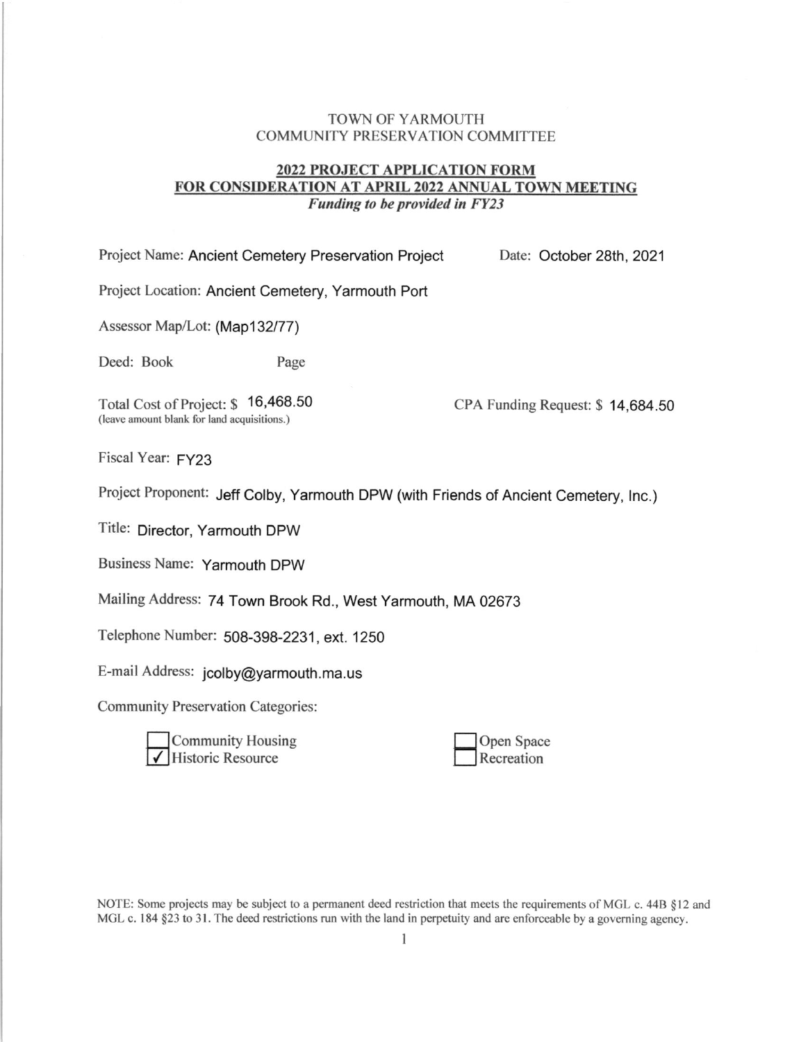## TOWN OF YARMOUTH COMMUNITY PRESERVATION COMMITTEE

## 2022 PROJECT APPLICATION FORM FOR CONSIDERATION AT APRIL 2022 ANNUAL TOWN MEETING Funding to be provided in FY23

| Project Name: Ancient Cemetery Preservation Project                                   | Date: October 28th, 2021         |  |  |  |
|---------------------------------------------------------------------------------------|----------------------------------|--|--|--|
| Project Location: Ancient Cemetery, Yarmouth Port                                     |                                  |  |  |  |
| Assessor Map/Lot: (Map132/77)                                                         |                                  |  |  |  |
| Deed: Book<br>Page                                                                    |                                  |  |  |  |
| 16,468.50<br>Total Cost of Project: \$<br>(leave amount blank for land acquisitions.) | CPA Funding Request: \$14,684.50 |  |  |  |
| Fiscal Year: FY23                                                                     |                                  |  |  |  |
| Project Proponent: Jeff Colby, Yarmouth DPW (with Friends of Ancient Cemetery, Inc.)  |                                  |  |  |  |
| Title: Director, Yarmouth DPW                                                         |                                  |  |  |  |

Business Name: Yarmouth DPW

Mailing Address: 74 Town Brook Rd., West Yarmouth, MA 02673

Telephone Number: 508-398-2231, ext. 1250

E-mail Address: jcolby@yarmouth. ma. us

Community Preservation Categories:

| Community Housing   |
|---------------------|
| ✔ Historic Resource |

Open Space Recreation

NOTE: Some projects may be subject to a permanent deed restriction that meets the requirements of MGL c. 44B  $§12$  and MGL c. 184  $\S 23$  to 31. The deed restrictions run with the land in perpetuity and are enforceable by a governing agency.